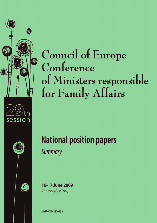



# **Council of Europe** Conference of Ministers responsible for Family Affairs

# **National position papers Summary**

16-17 June 2009 Vienna (Austria)

MMF-XXIX (2009) 3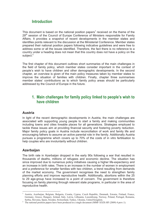# **Introduction**

This document is based on the national position papers<sup>1</sup> received on the theme of the 29<sup>th</sup> session of the Council of Europe Conference of Ministers responsible for Family Affairs. It provides a snapshot of recent developments in the member states and identifies points relevant to the discussion at the Ministerial Conference. Member states prepared their national position papers following indicative guidelines and were free to address some or all the issues identified. Therefore, the fact there is no reference to a country under a heading does not mean that this country does not have a policy on the subject.<sup>2</sup>

The first chapter of this document outlines short summaries of the main challenges in the field of family policy, which member states consider important in the context of people's wish to have children and other demographic developments. In the second chapter, an overview is given of the main policy measures taken by member states to improve the situation of families with children. Finally, chapter three summarises member states' contributions as to which family policy areas should be particularly addressed by the Council of Europe in the future.

# **1. Main challenges for family policy linked to people's wish to have children**

#### **Austria**

In light of the recent demographic developments in Austria, the main challenges are associated with supporting young people to start a family and making communities including towns and cities liveable places for all generations. Strategies employed to tackle these issues aim at providing financial security and fostering poverty reduction. Major family policy goals in Austria include reconciliation of work and family life and encouraging fathers to assume an active parental role in the family. Additionally Austria pursues a programme which covers up to 70% of the costs of in vitro fertilisation to help couples who are involuntarily without children.

#### **Azerbaijan**

The birth rate in Azerbaijan dropped in the early 90s following a war that resulted in thousands of deaths, millions of refugees and economic decline. The situation has since improved due to numerous policy initiatives causing a higher life-expectancy and an increase in birth rates. There is an increase in the number of women in employment and a preference for smaller families with two children, a trend resulting from demands of the market economy. The government recognises the need to strengthen family planning efforts and improve reproductive health. Additionally, abortions within the 25 to 29 age-group have increased to a point of concern. The government is therefore focusing on family planning through relevant state programs, in particular in the area of reproductive health.

<sup>1</sup> Austria, Azerbaijan, Belgium, Bulgaria, Croatia, Cyprus, Czech Republic, Denmark, Estonia, Finland, France, Germany, Greece, Hungary, Ireland, Italy, Latvia, Lithuania, Luxembourg, Norway, Poland, Portugal, Romania, Serbia, Slovenia, Spain, Sweden, Switzerland, Turkey, Ukraine, United Kingdom.

<sup>&</sup>lt;sup>2</sup> The national position papers have been produced in a single document (MMF-XXIX-HF (2009) 4 prov.1).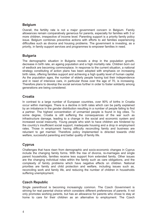#### **Belgium**

Overall, the fertility rate is not a major government concern in Belgium. Family allowances remain comparatively generous for parents, especially for families with 3 or more children, irrespective of income level. Parenting support is a priority family policy issue. Belgium combines preventive actions with efforts to aid families experiencing difficulties such as divorce and housing problems. The government is investing, as a priority, in family support services and programmes to empower families in need.

#### **Bulgaria**

The demographic situation in Bulgaria reveals a drop in the population growth, decrease in birth rate, an ageing population and a high mortality rate. Children born out of wedlock are becoming commonplace. In response to the current situation, a national strategy constituting of action plans has been adopted with emphasis on increasing birth rates, offering families support and achieving a high quality level of human capital. As the population ages, the number of elderly people having lost their independence and in need of intensive care, in particular those over the age of 70, is increasing. Therefore plans to develop the social services further in order to foster solidarity among generations are being considered.

#### **Croatia**

In contrast to a large number of European countries, over 90% of births in Croatia occur within marriages. There is a decline in birth rates which can be partly explained by an imbalance in the gender distribution resulting in a number of people failing to find a partner. The highest concentration of unmarried people is found in big cities. To some degree, Croatia is still suffering the consequences of the war such as infrastructure damage, leading to a change in the social and economic system and increased social insecurity. Young people who wish to have children are hindered by the country's insufficient social support, inadequate housing and a drop in employment rates. Those in employment having difficulty reconciling family and business are reluctant to get married. Therefore policy implemented is directed towards child welfare, successful parenting and better quality of family life.

# **Cyprus**

Challenges that have risen from demographic and socio-economic changes in Cyprus include the changing family forms. With the rise of divorce, re-marriages and single parent households, families receive less support from extended family. Other issues are the changing individual roles within the family such as care obligations, and the complexity of family problems which have negative effects on children. National priorities are family and child protection and welfare, including issues such as, reconciling work and family life, and reducing the number of children in households suffering unemployment.

#### **Czech Republic**

Single parenthood is becoming increasingly common. The Czech Government is striving for real parental choice which considers different preferences of parents. It not only promotes working parents, but has an allowance for parents who chose to stay at home to care for their children as an alternative to employment. The Czech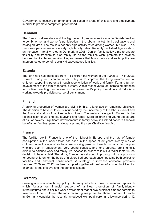Government is focusing on amending legislation in areas of childcare and employment in order to promote competent parenthood.

#### **Denmark**

The Danish welfare state and the high level of gender equality enable Danish families to combine men and women's participation in the labour market, family obligations and having children. The result is not only high activity rates among women, but also – in a European perspective – relatively high fertility rates. Recently published figures show an increase in fertility rates in Denmark in 2008. Danish family policy aims to ensure flexibility and freedom to plan family life as the families wish, promote the balance between family life and working life, and ensure that family policy and social policy are interconnected to benefit socially disadvantaged families.

#### **Estonia**

The birth rate has increased from 1.3 children per woman in the 1990s to 1.7 in 2008. Current priority in Estonian family policy is to improve the living environment of children, supporting parents through reconciliation of work and family life, and further development of the family benefits' system. Within recent years, an increasing attention to positive parenting can be seen in the government's policy formation and Estonia is working towards prohibiting corporal punishment.

#### **Finland**

A growing proportion of women are giving birth at a later age or remaining childless. The decision to have children is influenced by the uncertainty of the labour market and the financial status of families with children. The main challenge in Finland is the reconciliation of working life/ studying and family. More children and young people are at risk of poverty. Significant developments in family policy in Finland concern financial benefits for families, parental allowances and the new Child Welfare Act.

#### **France**

The fertility rate in France is one of the highest in Europe and the rate of female participation in the labour force has risen in the space of 30 years. Nearly 60% of children under the age of six have two working parents. Parents, in particular couples who are both in employment, very young couples, and lone parents, are finding it difficult to balance work and family life. Access to childcare is still a major factor in the decision to have a child. Therefore, France has set about improving childcare provision for young children, on the basis of a diversified approach encompassing both collective facilities and individual childminders. A strategy to increase childcare provision between 2009 and 2012 has been adopted together with reform of existing facilities, for example, forms of leave and the benefits system.

#### **Germany**

Seeking a sustainable family policy, Germany adopts a three dimensional approach which focuses on financial support of families, promotion of family-friendly infrastructures and a flexible work environment that allows sufficient time for parents to take care of their children. The most recent figures prove that three quarters of people in Germany consider the recently introduced well-paid parental allowance during 12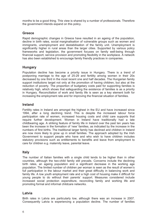months to be a good thing. This view is shared by a number of professionals. Therefore the government intends expand on this policy.

#### **Greece**

Rapid demographic changes in Greece have resulted in an ageing of the population, decline in birth rates, social marginalisation of vulnerable groups such as women and immigrants, unemployment and destabilisation of the family unit. Unemployment is significantly higher in rural areas than the larger cities. Supported by various policy frameworks and legislation, the government focuses on family well-being through financial support, service provision and promoting flexibility in the workplace. A network has also been established to encourage family friendly practices in companies.

#### **Hungary**

Population decline has become a priority issue in Hungary. There is a trend of postponing marriage to the age of 25-29 and fertility among women in their 20s decreased by one third in the most recent one and half decades. The Hungarian family support institutions target not only at the promotion of having children, but also at the reduction of poverty. The proportion of budgetary costs paid for supporting families is relatively high, which shows that safeguarding the existence of families is as a priority in Hungary. Reconciliation of work and family life is seen as a key element both for increasing the employment rate and for improving the financial situation of families.

#### **Ireland**

Fertility rates in Ireland are amongst the highest in the EU and have increased since 1994, after a long declining trend. This is despite the increased labour force participation rate of women, increased housing costs and child care supports that require further development. Women in Ireland have traditionally had a late childbearing age. A striking feature of family life in Ireland over the past ten years has been the increase in the formation of 'new' families, as indicated by the increase in the numbers of first births. The traditional larger family has declined and children in Ireland are now more likely to grow up in small families. The approach adopted by the Irish Government to support people who have and who wish to have children includes statutory provisions such as entitlements to benefits and leave from employment to care for children e.g. maternity leave, parental leave.

#### **Italy**

The number of Italian families with a single child tends to be higher than in other countries, although the two-child family still prevails. Concerns include the declining birth rates, an ageing population and a significant decrease in the working age population. The limited number of children per woman is seen as the result of women's full participation in the labour market and their great difficulty in balancing work and family life. A low youth employment rate and a high cost of housing make it difficult for young people to do without their parents' support. Measures considered include increased social protection expenditure, reconciling family and working life and promoting formal and informal childcare networks.

#### **Latvia**

Birth rates in Latvia are particularly low, although there was an increase in 2007. Consequently Latvia is experiencing a population decline. The number of families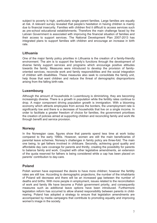subject to poverty is high, particularly single parent families. Large families are equally at risk. A relevant survey revealed that people's hesitation in having children is mainly due to financial insecurity. Families with children find it difficult to access services such as pre-school educational establishments. Therefore the main challenge faced by the Latvian Government is associated with improving the financial situation of families and their access to support services. The National Development Plan 2007-2013 has integrated plans to support families with children and encourage an increase in birth rate.

#### **Lithuania**

One of the major family policy priorities in Lithuania is the creation of a family-friendly environment. The aim is to support the family's functions through the development of diverse family support services and programs which encourage positive attitudes towards the family. Measures were introduced to develop the provision of familyoriented services, reconcile work and family responsibilities and the social integration of children with disabilities. These measures also seek to consolidate the family unit, help those that want children and reduce the threat of demographic disproportions arising from the falling birth-rate.

#### **Luxembourg**

Although the amount of households in Luxembourg is diminishing, they are becoming increasingly diverse. There is a growth in population while the fertility rates continue to drop. A major component driving population growth is immigration. With a blooming economy which attracts employees from across the borders, the unemployment rate is significantly low and there is a decrease of households that live on a single income. In order to facilitate a greater freedom of choice for families, the government prioritises the creation of policies aimed at supporting children and reconciling family and work life through benefit and service provision.

#### **Norway**

In the Norwegian case, figures show that parents spend less time at work today compared to the early 1990s. However, women are still the main beneficiaries of parental leave schemes. Norway's challenges in family policy are three-fold. The main one being, to get fathers involved in childcare. Secondly, achieving good quality and affordable day care coverage for parents and thirdly, creating the possibility for parents to balance family and work. Coupled with other legislative amendments, an extension of the quota reserved for fathers is being considered while a cap has been placed on parents' contribution to day-care.

#### **Poland**

Polish women have expressed the desire to have more children; however the fertility rates are still low. According to demographic projections, the number of the inhabitants of Poland will decrease and there will be an increased gap between the number of deaths and births. With more people in employment, issues related to the reconciliation of work and family life have become a Polish government priority, and consequently measures such as additional leave options have been introduced. Furthermore legislation reform has occurred to allow shared responsibility between parents in child rearing. Poland has adopted a strategy to ensure that legislation amendments are accompanied by media campaigns that contribute to promoting equality and improving rearing. Poland has adopted<br>accompanied by media campa<br>women's image in the society.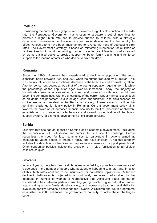## **Portugal**

Considering the current demographic trends towards a significant reduction in the birth rate, the Portuguese Government has chosen to structure a set of incentives to promote a higher birth rate and to provide support to children, with a strategic dimension of intervention for the economic and social development of the country. In effect, various efforts have been implemented to reverse the trend of decreasing birth rates. The Government's strategy is based on reinforcing intervention for all kinds of families, keeping in mind the growing number of single parent families, mostly headed by women. It also seeks to provide support for better family planning and reinforce support to the income of families who decide to have children.

#### **Romania**

Since the 1990s, Romania has experienced a decline in population, the most significant being between 1992 and 2002 when the number reduced by 1.1 million. This was mainly influenced by a continual decrease of the birth rate and external migration. Another concurrent decrease was that of the young population aged under 14, while the percentage of the population aged over 65 increased. Today, the majority of households consist of families without children, and households with only one child are becoming commonplace. With the uncertainty of the current labour market, issues such as childbirth postponement to a later age, child abandonment and childlessness by choice are more prevalent in the Romanian society. These issues constitute the dominant challenge for family policy in Romania. Current government policy aims towards the provision of increased financial security to families, protection of children, establishment of greater work-life balance and overall modernisation of the family support system, for example, development of childcare services.

#### **Serbia**

Low birth rate has had an impact on Serbia's socio-economic development. Facilitating the reconciliation of professional and family life is a specific challenge. Serbia recognises the need for local communities to participate in actions aimed at encouraging young people to create a family and have children. A national strategy includes the definition of objectives and appropriate measures to support parenthood. Other supportive policies include the provision of in vitro fertilisation to all eligible childless couples.

#### **Slovenia**

In recent years, there has been a slight increase in fertility, a possible consequence of a decrease in the number of people who postpone childbearing to a later age. In spite of this, birth rates continue to be insufficient for population replacement. A further decline in birth rates is projected in approximately ten years, partly driven by the decrease in number of women of reproductive age. Achieving equal sharing of household duties between partners, enabling young people to give birth at an earlier age, creating a more family-friendly society, and increasing treatment availability for involuntary fertility, remains a challenge for Slovenia. A Children and Youth programme established in 2006 enhances the government's capacity to tackle these challenges better.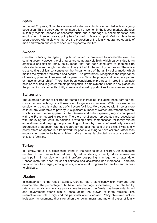## **Spain**

In the last 25 years, Spain has witnessed a decline in birth rate coupled with an ageing population. This is partly due to the integration of women in the labour market, changes in family models, periods of economic crisis and a shortage in accommodation and employment. In recent years, policy has focused on family support. Various plans have been adopted with a view to improve the protection of the family, guarantee equality of men and women and ensure adequate support to families.

#### **Sweden**

Sweden is facing an ageing population which is projected to accelerate over the coming years. However the birth rates are comparatively high, which partly is due to an ambitious and flexible family policy model that has been conducive to keeping birth rates stable even though the rate is closely linked to the employment rates. There is a cross cutting political consensus on the fundamentals of the family policy model which makes the system predictable and secure. The government recognises the importance of creating pre-conditions needed for parents to "take the plunge and become a parent or have another child". There has been considerable progress in creating suitable policies resulting in greater female participation in employment. Focus is now placed on the promotion of choice, flexibility at work and equal opportunities for women and men.

#### **Switzerland**

The average number of children per female is increasing, including those born to non- Swiss mothers, although it still insufficient for generation renewal. With more women in employment, there is a shortage of childcare facilities. More couples with three or more children are vulnerable to poverty. A significant number of women are without children, which is a trend more apparent in the German and Italian speaking regions compared with the French speaking regions. Therefore, challenges represented are associated with improving the work life balance, providing better compensation for family-related expenditure, and helping people wanting children by means of medically assisted procreation or adoption, with due regard for the best interests of the child. Swiss family policy offers an appropriate framework for people wishing to have children rather than encouraging people to have children. More money is directed towards creation of childcare facilities.

#### **Turkey**

In Turkey, there is a diminishing trend in the wish to have children. An increasing number of men desire financial security before starting a family. More women are participating in employment and therefore postponing marriage to a later date. Consequently the need for social services and assistance has increased. Therefore national priorities target, among others, educational programs for families and access to childcare.

#### **Ukraine**

In comparison to the rest of Europe, Ukraine has a significantly high marriage and divorce rate. The percentage of births outside marriage is increasing. The total fertility rate is especially low. A state programme to support the family has been established and government efforts aim at encouraging the growth of large families. The unemployment rate is high and this particular affects women. Policy objectives include legislation amendments that strengthen the lawful, moral and material bases of family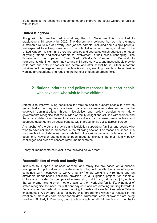life to increase the economic independence and improve the social welfare of families with children.

#### **United Kingdom**

Along with its devolved administrations, the UK Government is committed to eradicating child poverty by 2020. The Government believes that work is the most sustainable route out of poverty, and jobless parents, including some single parents, are expected to actively seek work. The potential number of teenage fathers in the United Kingdom is high, and there are policies and strategies which address the needs are expected to actively seek work. The potential number of teenage fathers in the<br>United Kingdom is high, and there are policies and strategies which address the needs<br>of young fathers and tackle barriers to involvement i Government has opened "Sure Start" Children's Centres in England to help parents with information, advice and child care services, and most schools provide child care and activities for children before and after school hours. Other important priorities include targeted support to families at risk, enabling parents to have flexible working arrangements and reducing the number of teenage pregnancies.

# **2. National priorities and policy responses to support people who have and who wish to have children**

Attempts to improve living conditions for families and to support people to have as many children as they wish are being made across member states and across the devolved administrations through legislative and policy developments. Many governments recognise that the burden of family obligations still lies with women and there is a determined focus to create incentives for increased work activity and decrease dependency on social benefits within broad family policy across Europe.

A snapshot of the current practice and legislation supporting families and people who wish to have children is presented in the following section. For reasons of space, it is not possible to include every policy detailed in the various national contributions in this document. However attempts have been made to highlight the main family policy challenges and areas of concern within member states.

Nearly all member states invest in the following policy areas:

#### **Reconciliation of work and family life**

Initiatives to support a balance of work and family life are based on a suitable arrangement of political and corporate aspects. They include effective financial support combined with incentives to work, a family-friendly working environment and an affordable needs-based childcare provision. In a Bulgarian project, for example, childcare is provided by unemployed women who, in doing so, gain a paid job, while at the same time helping other mothers balance their work and family life. A number of states recognise the need for sufficient day-care and are directing funding towards it. For example, Switzerland increased funding towards childcare facilities, while Estonia implemented 'A day care place for every child' programme which has resulted in the creation of more day-care places for children. Numerous leave allowances are being provided. Similarly in Denmark, day-care is available for all children from six months to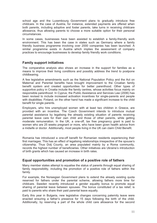school age and the Luxembourg Government plans to gradually introduce free childcare. In the case of Austria, for instance, extended payments are offered when both parents, including adoptive and foster parents, take turns in receiving childcare allowance, thus allowing parents to choose a more suitable option for their personal circumstances.

In some cases, businesses have been assisted to establish a family-friendly work environment. This has been the case in states such as Germany where a family friendly business programme involving over 2000 companies has been launched. A similar programme exists in Austria which implies the assessment of company practices to encourage businesses to develop family friendly work conditions.

#### **Family support initiatives**

The comparative analysis also shows an increase in the support for families as a means to improve their living conditions and possibly address the trend to postpone childbearing.

A few legislative amendments such as the National Population Policy and the Act on Maternal and Parental benefits have brought improvement to the Croatian family benefit system and created opportunities for better parenthood. Other types of supportive policy in Croatia include the family centres, whose activities focus mainly on responsible parenthood. In Cyprus, the Public Assistance and Services Law (2006) has been revised to include increased activation incentives for single-parents and people with disabilities. Finland, on the other hand has made a significant increase to the child benefit for single parents.

Employers, who hire unemployed women with at least two children in Greece, are provided with an incentive. The Czech Government intends to introduce mutual parental assistance by legalising the already existing situation of parents receiving parental leave care for their own child and those of other parents, while getting moderate remuneration. In the UK, a one-off, tax free pregnancy grant is paid to women who are 25 weeks pregnant or more, who have been given health advice from a midwife or doctor. Additionally, most people living in the UK can claim Child Benefit.

Romania has introduced a one-off benefit for Romanian residents experiencing their first marriages. This has an effect of legalising relationships irrespective of the spouse's citizenship. Thus Dolj County, an area populated mainly by a Roma community, records the highest number of beneficiaries. Other initiatives are Ukraine's introduction of birth grants which has caused an increase in birth rates.

#### **Equal opportunities and promotion of a positive role of fathers**

Many member states attempt to equalise the status of parents through equal sharing of family responsibility, including the promotion of a positive role of fathers within the family.

For example, the Norwegian Government plans to extend the already existing quota reserved for fathers under the parental scheme, allowing fathers more time for childcare. Sweden recently introduced a gender equality bonus to promote equal sharing of parental leave between spouses. The bonus constituted of a tax relief, is paid to parents who share their paid parental leave equally.

Early this year in Bulgaria, new legislative changes concerning paternity leave were enacted ensuring a father's presence for 15 days following the birth of the child. Additionally, by reserving a part of the whole child care allowance for the second